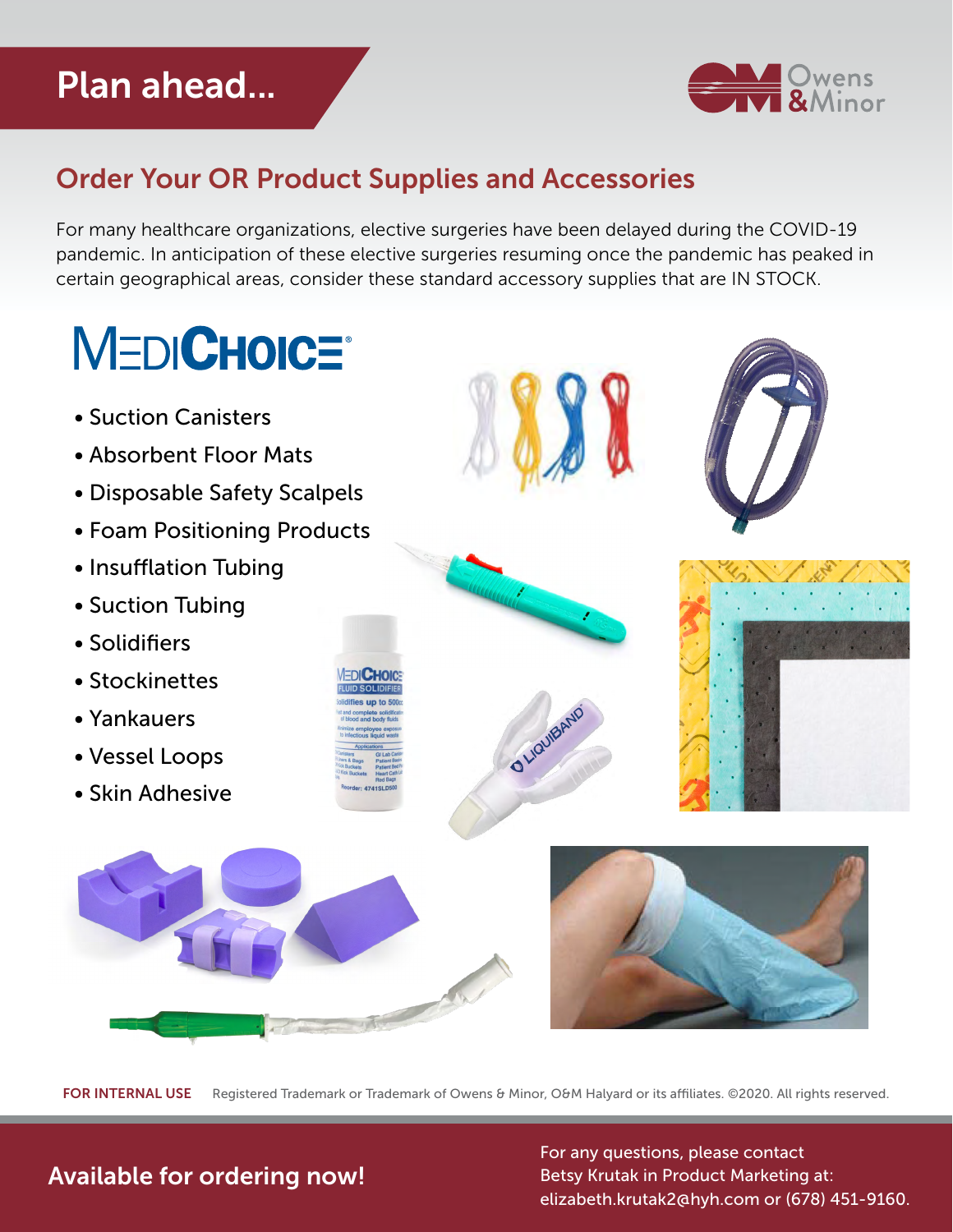## Plan ahead...



## Order Your OR Product Supplies and Accessories

For many healthcare organizations, elective surgeries have been delayed during the COVID-19 pandemic. In anticipation of these elective surgeries resuming once the pandemic has peaked in certain geographical areas, consider these standard accessory supplies that are IN STOCK.

## **MEDICHOICE®**

- Suction Canisters
- Absorbent Floor Mats
- Disposable Safety Scalpels
- Foam Positioning Products
- Insufflation Tubing
- Suction Tubing
- Solidifiers
- Stockinettes
- Yankauers
- Vessel Loops
- Skin Adhesive



O Liquidano









FOR INTERNAL USE Registered Trademark or Trademark of Owens & Minor, O&M Halyard or its affiliates. ©2020. All rights reserved.

## Available for ordering now!

For any questions, please contact Betsy Krutak in Product Marketing at: [elizabeth.krutak2@hyh.com](mailto:elizabeth.krutak2%40hyh.com?subject=) or (678) 451-9160.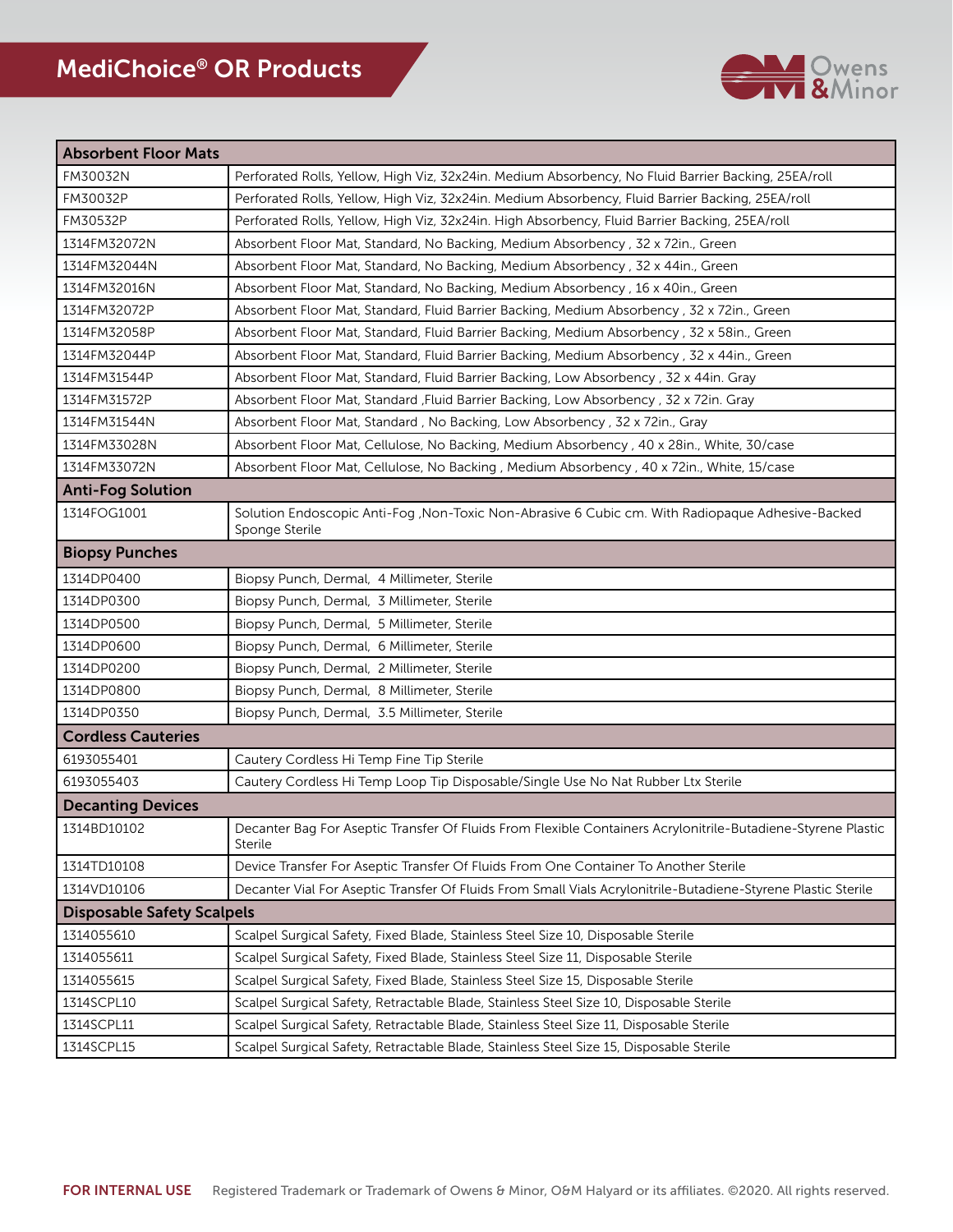

| <b>Absorbent Floor Mats</b>       |                                                                                                                         |  |
|-----------------------------------|-------------------------------------------------------------------------------------------------------------------------|--|
| FM30032N                          | Perforated Rolls, Yellow, High Viz, 32x24in. Medium Absorbency, No Fluid Barrier Backing, 25EA/roll                     |  |
| FM30032P                          | Perforated Rolls, Yellow, High Viz, 32x24in. Medium Absorbency, Fluid Barrier Backing, 25EA/roll                        |  |
| FM30532P                          | Perforated Rolls, Yellow, High Viz, 32x24in. High Absorbency, Fluid Barrier Backing, 25EA/roll                          |  |
| 1314FM32072N                      | Absorbent Floor Mat, Standard, No Backing, Medium Absorbency, 32 x 72in., Green                                         |  |
| 1314FM32044N                      | Absorbent Floor Mat, Standard, No Backing, Medium Absorbency, 32 x 44in., Green                                         |  |
| 1314FM32016N                      | Absorbent Floor Mat, Standard, No Backing, Medium Absorbency, 16 x 40in., Green                                         |  |
| 1314FM32072P                      | Absorbent Floor Mat, Standard, Fluid Barrier Backing, Medium Absorbency, 32 x 72in., Green                              |  |
| 1314FM32058P                      | Absorbent Floor Mat, Standard, Fluid Barrier Backing, Medium Absorbency, 32 x 58in., Green                              |  |
| 1314FM32044P                      | Absorbent Floor Mat, Standard, Fluid Barrier Backing, Medium Absorbency, 32 x 44in., Green                              |  |
| 1314FM31544P                      | Absorbent Floor Mat, Standard, Fluid Barrier Backing, Low Absorbency, 32 x 44in. Gray                                   |  |
| 1314FM31572P                      | Absorbent Floor Mat, Standard , Fluid Barrier Backing, Low Absorbency , 32 x 72in. Gray                                 |  |
| 1314FM31544N                      | Absorbent Floor Mat, Standard, No Backing, Low Absorbency, 32 x 72in., Gray                                             |  |
| 1314FM33028N                      | Absorbent Floor Mat, Cellulose, No Backing, Medium Absorbency, 40 x 28in., White, 30/case                               |  |
| 1314FM33072N                      | Absorbent Floor Mat, Cellulose, No Backing, Medium Absorbency, 40 x 72in., White, 15/case                               |  |
| <b>Anti-Fog Solution</b>          |                                                                                                                         |  |
| 1314FOG1001                       | Solution Endoscopic Anti-Fog , Non-Toxic Non-Abrasive 6 Cubic cm. With Radiopaque Adhesive-Backed<br>Sponge Sterile     |  |
| <b>Biopsy Punches</b>             |                                                                                                                         |  |
| 1314DP0400                        | Biopsy Punch, Dermal, 4 Millimeter, Sterile                                                                             |  |
| 1314DP0300                        | Biopsy Punch, Dermal, 3 Millimeter, Sterile                                                                             |  |
| 1314DP0500                        | Biopsy Punch, Dermal, 5 Millimeter, Sterile                                                                             |  |
| 1314DP0600                        | Biopsy Punch, Dermal, 6 Millimeter, Sterile                                                                             |  |
| 1314DP0200                        | Biopsy Punch, Dermal, 2 Millimeter, Sterile                                                                             |  |
| 1314DP0800                        | Biopsy Punch, Dermal, 8 Millimeter, Sterile                                                                             |  |
| 1314DP0350                        | Biopsy Punch, Dermal, 3.5 Millimeter, Sterile                                                                           |  |
| <b>Cordless Cauteries</b>         |                                                                                                                         |  |
| 6193055401                        | Cautery Cordless Hi Temp Fine Tip Sterile                                                                               |  |
| 6193055403                        | Cautery Cordless Hi Temp Loop Tip Disposable/Single Use No Nat Rubber Ltx Sterile                                       |  |
| <b>Decanting Devices</b>          |                                                                                                                         |  |
| 1314BD10102                       | Decanter Bag For Aseptic Transfer Of Fluids From Flexible Containers Acrylonitrile-Butadiene-Styrene Plastic<br>Sterile |  |
| 1314TD10108                       | Device Transfer For Aseptic Transfer Of Fluids From One Container To Another Sterile                                    |  |
| 1314VD10106                       | Decanter Vial For Aseptic Transfer Of Fluids From Small Vials Acrylonitrile-Butadiene-Styrene Plastic Sterile           |  |
| <b>Disposable Safety Scalpels</b> |                                                                                                                         |  |
| 1314055610                        | Scalpel Surgical Safety, Fixed Blade, Stainless Steel Size 10, Disposable Sterile                                       |  |
| 1314055611                        | Scalpel Surgical Safety, Fixed Blade, Stainless Steel Size 11, Disposable Sterile                                       |  |
| 1314055615                        | Scalpel Surgical Safety, Fixed Blade, Stainless Steel Size 15, Disposable Sterile                                       |  |
| 1314SCPL10                        | Scalpel Surgical Safety, Retractable Blade, Stainless Steel Size 10, Disposable Sterile                                 |  |
| 1314SCPL11                        | Scalpel Surgical Safety, Retractable Blade, Stainless Steel Size 11, Disposable Sterile                                 |  |
| 1314SCPL15                        | Scalpel Surgical Safety, Retractable Blade, Stainless Steel Size 15, Disposable Sterile                                 |  |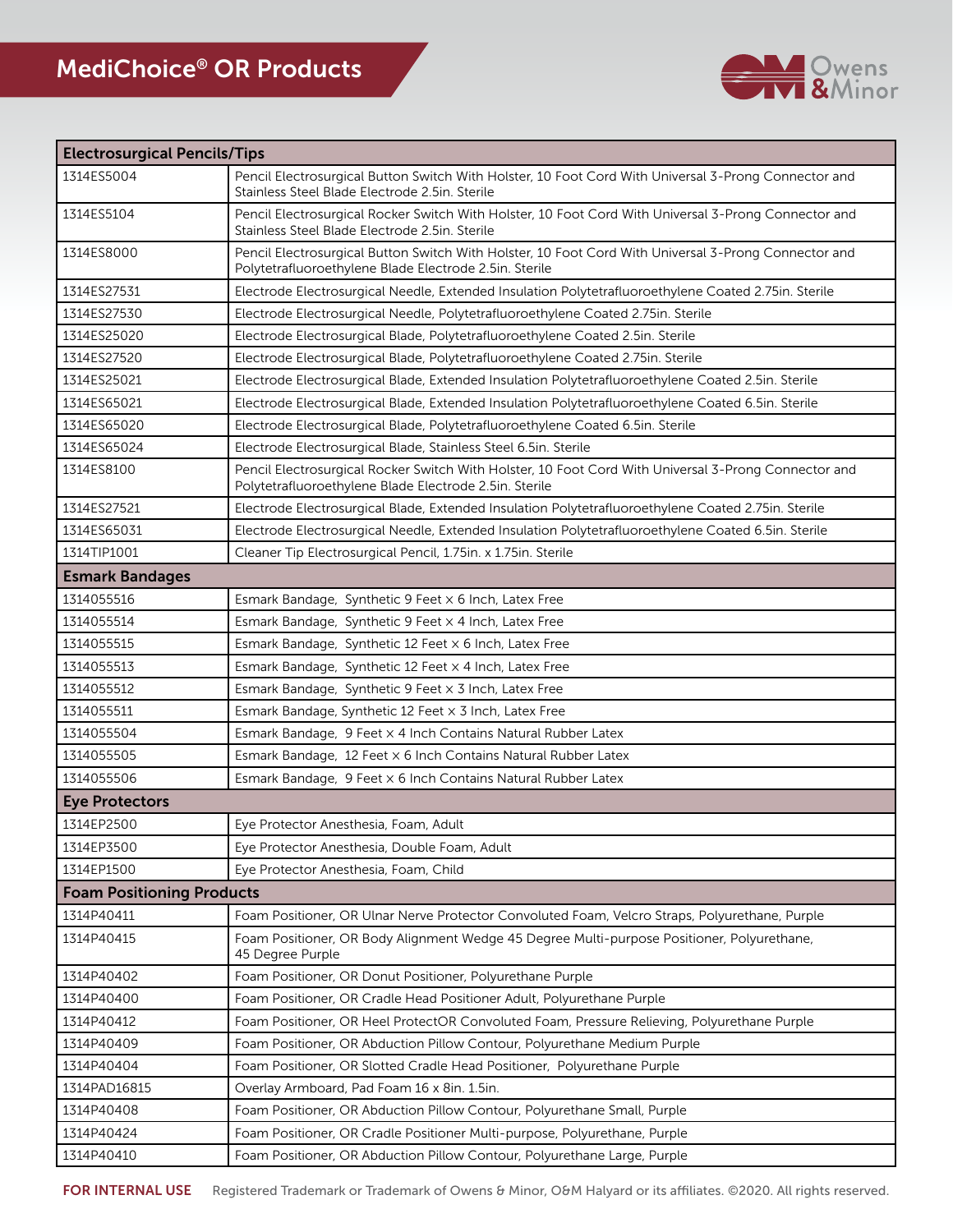

| <b>Electrosurgical Pencils/Tips</b> |                                                                                                                                                                |  |
|-------------------------------------|----------------------------------------------------------------------------------------------------------------------------------------------------------------|--|
| 1314ES5004                          | Pencil Electrosurgical Button Switch With Holster, 10 Foot Cord With Universal 3-Prong Connector and<br>Stainless Steel Blade Electrode 2.5in, Sterile         |  |
| 1314ES5104                          | Pencil Electrosurgical Rocker Switch With Holster, 10 Foot Cord With Universal 3-Prong Connector and<br>Stainless Steel Blade Electrode 2.5in. Sterile         |  |
| 1314ES8000                          | Pencil Electrosurgical Button Switch With Holster, 10 Foot Cord With Universal 3-Prong Connector and<br>Polytetrafluoroethylene Blade Electrode 2.5in. Sterile |  |
| 1314ES27531                         | Electrode Electrosurgical Needle, Extended Insulation Polytetrafluoroethylene Coated 2.75in. Sterile                                                           |  |
| 1314ES27530                         | Electrode Electrosurgical Needle, Polytetrafluoroethylene Coated 2.75in. Sterile                                                                               |  |
| 1314ES25020                         | Electrode Electrosurgical Blade, Polytetrafluoroethylene Coated 2.5in. Sterile                                                                                 |  |
| 1314ES27520                         | Electrode Electrosurgical Blade, Polytetrafluoroethylene Coated 2.75in. Sterile                                                                                |  |
| 1314ES25021                         | Electrode Electrosurgical Blade, Extended Insulation Polytetrafluoroethylene Coated 2.5in. Sterile                                                             |  |
| 1314ES65021                         | Electrode Electrosurgical Blade, Extended Insulation Polytetrafluoroethylene Coated 6.5in. Sterile                                                             |  |
| 1314ES65020                         | Electrode Electrosurgical Blade, Polytetrafluoroethylene Coated 6.5in. Sterile                                                                                 |  |
| 1314ES65024                         | Electrode Electrosurgical Blade, Stainless Steel 6.5in. Sterile                                                                                                |  |
| 1314ES8100                          | Pencil Electrosurgical Rocker Switch With Holster, 10 Foot Cord With Universal 3-Prong Connector and<br>Polytetrafluoroethylene Blade Electrode 2.5in. Sterile |  |
| 1314ES27521                         | Electrode Electrosurgical Blade, Extended Insulation Polytetrafluoroethylene Coated 2.75in. Sterile                                                            |  |
| 1314ES65031                         | Electrode Electrosurgical Needle, Extended Insulation Polytetrafluoroethylene Coated 6.5in. Sterile                                                            |  |
| 1314TIP1001                         | Cleaner Tip Electrosurgical Pencil, 1.75in. x 1.75in. Sterile                                                                                                  |  |
| <b>Esmark Bandages</b>              |                                                                                                                                                                |  |
| 1314055516                          | Esmark Bandage, Synthetic 9 Feet x 6 Inch, Latex Free                                                                                                          |  |
| 1314055514                          | Esmark Bandage, Synthetic 9 Feet x 4 Inch, Latex Free                                                                                                          |  |
| 1314055515                          | Esmark Bandage, Synthetic 12 Feet x 6 Inch, Latex Free                                                                                                         |  |
| 1314055513                          | Esmark Bandage, Synthetic 12 Feet x 4 Inch, Latex Free                                                                                                         |  |
| 1314055512                          | Esmark Bandage, Synthetic 9 Feet x 3 Inch, Latex Free                                                                                                          |  |
| 1314055511                          | Esmark Bandage, Synthetic 12 Feet x 3 Inch, Latex Free                                                                                                         |  |
| 1314055504                          | Esmark Bandage, 9 Feet x 4 Inch Contains Natural Rubber Latex                                                                                                  |  |
| 1314055505                          | Esmark Bandage, 12 Feet x 6 Inch Contains Natural Rubber Latex                                                                                                 |  |
| 1314055506                          | Esmark Bandage, 9 Feet x 6 Inch Contains Natural Rubber Latex                                                                                                  |  |
| <b>Eye Protectors</b>               |                                                                                                                                                                |  |
| 1314EP2500                          | Eye Protector Anesthesia, Foam, Adult                                                                                                                          |  |
| 1314EP3500                          | Eye Protector Anesthesia, Double Foam, Adult                                                                                                                   |  |
| 1314EP1500                          | Eye Protector Anesthesia, Foam, Child                                                                                                                          |  |
| <b>Foam Positioning Products</b>    |                                                                                                                                                                |  |
| 1314P40411                          | Foam Positioner, OR Ulnar Nerve Protector Convoluted Foam, Velcro Straps, Polyurethane, Purple                                                                 |  |
| 1314P40415                          | Foam Positioner, OR Body Alignment Wedge 45 Degree Multi-purpose Positioner, Polyurethane,<br>45 Degree Purple                                                 |  |
| 1314P40402                          | Foam Positioner, OR Donut Positioner, Polyurethane Purple                                                                                                      |  |
| 1314P40400                          | Foam Positioner, OR Cradle Head Positioner Adult, Polyurethane Purple                                                                                          |  |
| 1314P40412                          | Foam Positioner, OR Heel ProtectOR Convoluted Foam, Pressure Relieving, Polyurethane Purple                                                                    |  |
| 1314P40409                          | Foam Positioner, OR Abduction Pillow Contour, Polyurethane Medium Purple                                                                                       |  |
| 1314P40404                          | Foam Positioner, OR Slotted Cradle Head Positioner, Polyurethane Purple                                                                                        |  |
| 1314PAD16815                        | Overlay Armboard, Pad Foam 16 x 8in. 1.5in.                                                                                                                    |  |
| 1314P40408                          | Foam Positioner, OR Abduction Pillow Contour, Polyurethane Small, Purple                                                                                       |  |
| 1314P40424                          | Foam Positioner, OR Cradle Positioner Multi-purpose, Polyurethane, Purple                                                                                      |  |
| 1314P40410                          | Foam Positioner, OR Abduction Pillow Contour, Polyurethane Large, Purple                                                                                       |  |

FOR INTERNAL USE Registered Trademark or Trademark of Owens & Minor, O&M Halyard or its affiliates. ©2020. All rights reserved.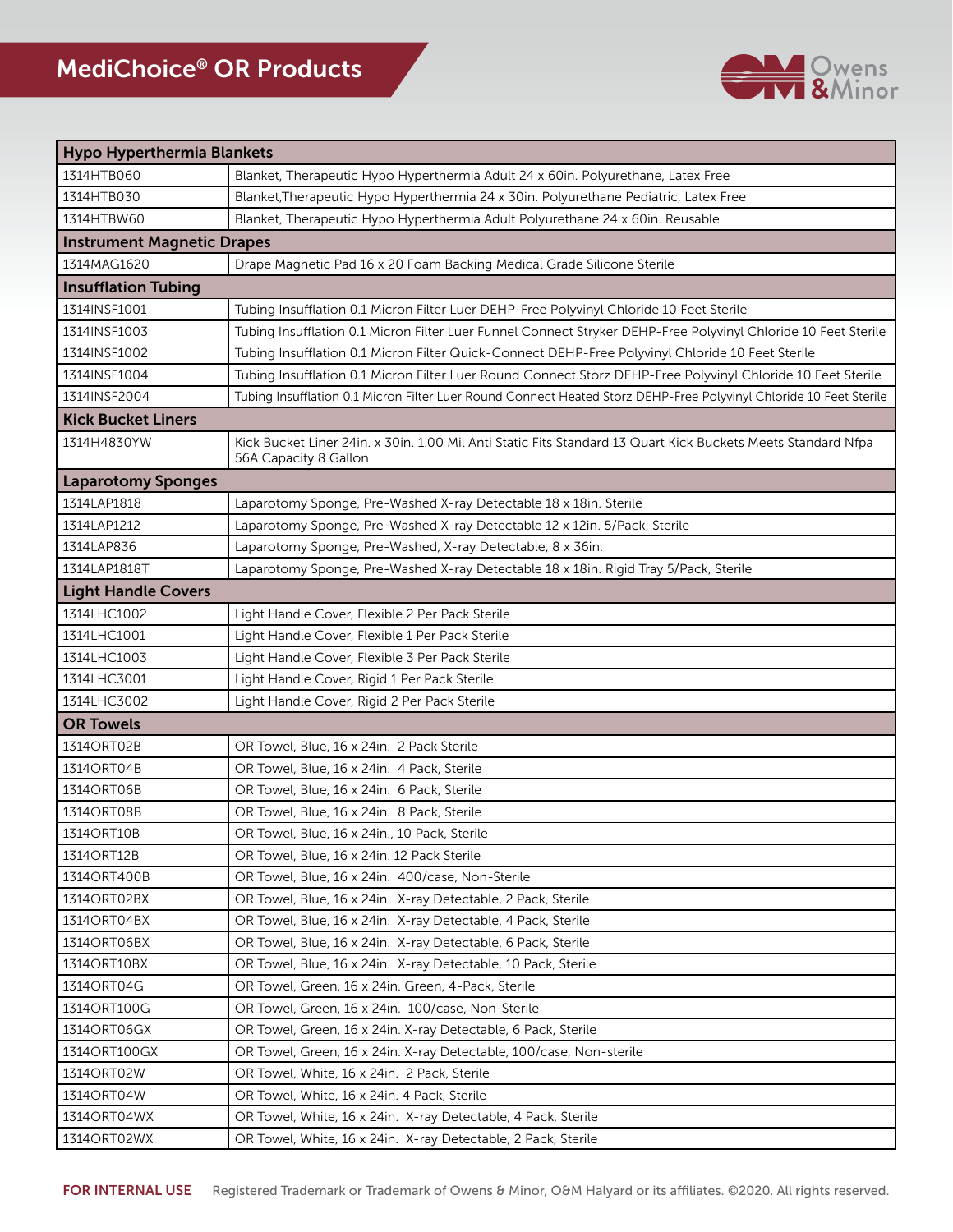

| Hypo Hyperthermia Blankets        |                                                                                                                                       |
|-----------------------------------|---------------------------------------------------------------------------------------------------------------------------------------|
| 1314HTB060                        | Blanket, Therapeutic Hypo Hyperthermia Adult 24 x 60in. Polyurethane, Latex Free                                                      |
| 1314HTB030                        | Blanket, Therapeutic Hypo Hyperthermia 24 x 30in. Polyurethane Pediatric, Latex Free                                                  |
| 1314HTBW60                        | Blanket, Therapeutic Hypo Hyperthermia Adult Polyurethane 24 x 60in. Reusable                                                         |
| <b>Instrument Magnetic Drapes</b> |                                                                                                                                       |
| 1314MAG1620                       | Drape Magnetic Pad 16 x 20 Foam Backing Medical Grade Silicone Sterile                                                                |
| <b>Insufflation Tubing</b>        |                                                                                                                                       |
| 1314INSF1001                      | Tubing Insufflation 0.1 Micron Filter Luer DEHP-Free Polyvinyl Chloride 10 Feet Sterile                                               |
| 1314INSF1003                      | Tubing Insufflation 0.1 Micron Filter Luer Funnel Connect Stryker DEHP-Free Polyvinyl Chloride 10 Feet Sterile                        |
| 1314INSF1002                      | Tubing Insufflation 0.1 Micron Filter Quick-Connect DEHP-Free Polyvinyl Chloride 10 Feet Sterile                                      |
| 1314INSF1004                      | Tubing Insufflation 0.1 Micron Filter Luer Round Connect Storz DEHP-Free Polyvinyl Chloride 10 Feet Sterile                           |
| 1314INSF2004                      | Tubing Insufflation 0.1 Micron Filter Luer Round Connect Heated Storz DEHP-Free Polyvinyl Chloride 10 Feet Sterile                    |
| <b>Kick Bucket Liners</b>         |                                                                                                                                       |
| 1314H4830YW                       | Kick Bucket Liner 24in. x 30in. 1.00 Mil Anti Static Fits Standard 13 Quart Kick Buckets Meets Standard Nfpa<br>56A Capacity 8 Gallon |
| <b>Laparotomy Sponges</b>         |                                                                                                                                       |
| 1314LAP1818                       | Laparotomy Sponge, Pre-Washed X-ray Detectable 18 x 18in. Sterile                                                                     |
| 1314LAP1212                       | Laparotomy Sponge, Pre-Washed X-ray Detectable 12 x 12in. 5/Pack, Sterile                                                             |
| 1314LAP836                        | Laparotomy Sponge, Pre-Washed, X-ray Detectable, 8 x 36in.                                                                            |
| 1314LAP1818T                      | Laparotomy Sponge, Pre-Washed X-ray Detectable 18 x 18in. Rigid Tray 5/Pack, Sterile                                                  |
| <b>Light Handle Covers</b>        |                                                                                                                                       |
| 1314LHC1002                       | Light Handle Cover, Flexible 2 Per Pack Sterile                                                                                       |
| 1314LHC1001                       | Light Handle Cover, Flexible 1 Per Pack Sterile                                                                                       |
| 1314LHC1003                       | Light Handle Cover, Flexible 3 Per Pack Sterile                                                                                       |
| 1314LHC3001                       | Light Handle Cover, Rigid 1 Per Pack Sterile                                                                                          |
| 1314LHC3002                       | Light Handle Cover, Rigid 2 Per Pack Sterile                                                                                          |
| <b>OR Towels</b>                  |                                                                                                                                       |
| 1314ORT02B                        | OR Towel, Blue, 16 x 24in. 2 Pack Sterile                                                                                             |
| 1314ORT04B                        | OR Towel, Blue, 16 x 24in. 4 Pack, Sterile                                                                                            |
| 1314ORT06B                        | OR Towel, Blue, 16 x 24in. 6 Pack, Sterile                                                                                            |
| 1314ORT08B                        | OR Towel, Blue, 16 x 24in. 8 Pack, Sterile                                                                                            |
| 1314ORT10B                        | OR Towel, Blue, 16 x 24in., 10 Pack, Sterile                                                                                          |
| 1314ORT12B                        | OR Towel, Blue, 16 x 24in. 12 Pack Sterile                                                                                            |
| 1314ORT400B                       | OR Towel, Blue, 16 x 24in. 400/case, Non-Sterile                                                                                      |
| 1314ORT02BX                       | OR Towel, Blue, 16 x 24in. X-ray Detectable, 2 Pack, Sterile                                                                          |
| 1314ORT04BX                       | OR Towel, Blue, 16 x 24in. X-ray Detectable, 4 Pack, Sterile                                                                          |
| 1314ORT06BX                       | OR Towel, Blue, 16 x 24in. X-ray Detectable, 6 Pack, Sterile                                                                          |
| 1314ORT10BX                       | OR Towel, Blue, 16 x 24in. X-ray Detectable, 10 Pack, Sterile                                                                         |
| 1314ORT04G                        | OR Towel, Green, 16 x 24in. Green, 4-Pack, Sterile                                                                                    |
| 1314ORT100G                       | OR Towel, Green, 16 x 24in. 100/case, Non-Sterile                                                                                     |
| 1314ORT06GX                       | OR Towel, Green, 16 x 24in. X-ray Detectable, 6 Pack, Sterile                                                                         |
| 1314ORT100GX                      | OR Towel, Green, 16 x 24in. X-ray Detectable, 100/case, Non-sterile                                                                   |
| 1314ORT02W                        | OR Towel, White, 16 x 24in. 2 Pack, Sterile                                                                                           |
| 1314ORT04W                        | OR Towel, White, 16 x 24in. 4 Pack, Sterile                                                                                           |
| 1314ORT04WX                       | OR Towel, White, 16 x 24in. X-ray Detectable, 4 Pack, Sterile                                                                         |
| 1314ORT02WX                       | OR Towel, White, 16 x 24in. X-ray Detectable, 2 Pack, Sterile                                                                         |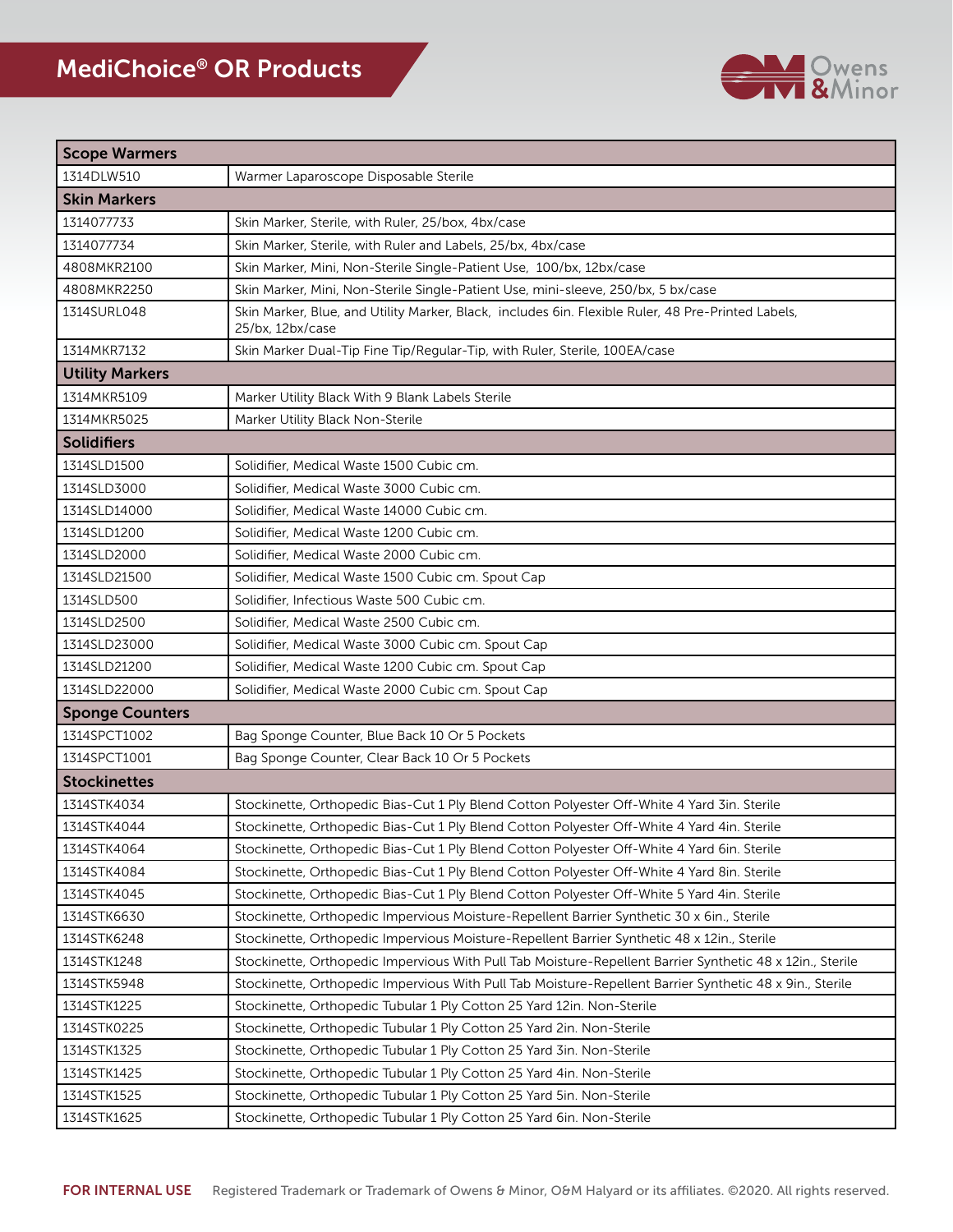

| <b>Scope Warmers</b>   |                                                                                                                        |
|------------------------|------------------------------------------------------------------------------------------------------------------------|
| 1314DLW510             | Warmer Laparoscope Disposable Sterile                                                                                  |
| <b>Skin Markers</b>    |                                                                                                                        |
| 1314077733             | Skin Marker, Sterile, with Ruler, 25/box, 4bx/case                                                                     |
| 1314077734             | Skin Marker, Sterile, with Ruler and Labels, 25/bx, 4bx/case                                                           |
| 4808MKR2100            | Skin Marker, Mini, Non-Sterile Single-Patient Use, 100/bx, 12bx/case                                                   |
| 4808MKR2250            | Skin Marker, Mini, Non-Sterile Single-Patient Use, mini-sleeve, 250/bx, 5 bx/case                                      |
| 1314SURL048            | Skin Marker, Blue, and Utility Marker, Black, includes 6in. Flexible Ruler, 48 Pre-Printed Labels,<br>25/bx, 12bx/case |
| 1314MKR7132            | Skin Marker Dual-Tip Fine Tip/Regular-Tip, with Ruler, Sterile, 100EA/case                                             |
| <b>Utility Markers</b> |                                                                                                                        |
| 1314MKR5109            | Marker Utility Black With 9 Blank Labels Sterile                                                                       |
| 1314MKR5025            | Marker Utility Black Non-Sterile                                                                                       |
| <b>Solidifiers</b>     |                                                                                                                        |
| 1314SLD1500            | Solidifier, Medical Waste 1500 Cubic cm.                                                                               |
| 1314SLD3000            | Solidifier, Medical Waste 3000 Cubic cm.                                                                               |
| 1314SLD14000           | Solidifier, Medical Waste 14000 Cubic cm.                                                                              |
| 1314SLD1200            | Solidifier, Medical Waste 1200 Cubic cm.                                                                               |
| 1314SLD2000            | Solidifier, Medical Waste 2000 Cubic cm.                                                                               |
| 1314SLD21500           | Solidifier, Medical Waste 1500 Cubic cm. Spout Cap                                                                     |
| 1314SLD500             | Solidifier, Infectious Waste 500 Cubic cm.                                                                             |
| 1314SLD2500            | Solidifier, Medical Waste 2500 Cubic cm.                                                                               |
| 1314SLD23000           | Solidifier, Medical Waste 3000 Cubic cm. Spout Cap                                                                     |
| 1314SLD21200           | Solidifier, Medical Waste 1200 Cubic cm. Spout Cap                                                                     |
| 1314SLD22000           | Solidifier, Medical Waste 2000 Cubic cm. Spout Cap                                                                     |
| <b>Sponge Counters</b> |                                                                                                                        |
| 1314SPCT1002           | Bag Sponge Counter, Blue Back 10 Or 5 Pockets                                                                          |
| 1314SPCT1001           | Bag Sponge Counter, Clear Back 10 Or 5 Pockets                                                                         |
| <b>Stockinettes</b>    |                                                                                                                        |
| 1314STK4034            | Stockinette, Orthopedic Bias-Cut 1 Ply Blend Cotton Polyester Off-White 4 Yard 3in. Sterile                            |
| 1314STK4044            | Stockinette, Orthopedic Bias-Cut 1 Ply Blend Cotton Polyester Off-White 4 Yard 4in. Sterile                            |
| 1314STK4064            | Stockinette, Orthopedic Bias-Cut 1 Ply Blend Cotton Polyester Off-White 4 Yard 6in. Sterile                            |
| 1314STK4084            | Stockinette, Orthopedic Bias-Cut 1 Ply Blend Cotton Polyester Off-White 4 Yard 8in. Sterile                            |
| 1314STK4045            | Stockinette, Orthopedic Bias-Cut 1 Ply Blend Cotton Polyester Off-White 5 Yard 4in. Sterile                            |
| 1314STK6630            | Stockinette, Orthopedic Impervious Moisture-Repellent Barrier Synthetic 30 x 6in., Sterile                             |
| 1314STK6248            | Stockinette, Orthopedic Impervious Moisture-Repellent Barrier Synthetic 48 x 12in., Sterile                            |
| 1314STK1248            | Stockinette, Orthopedic Impervious With Pull Tab Moisture-Repellent Barrier Synthetic 48 x 12in., Sterile              |
| 1314STK5948            | Stockinette, Orthopedic Impervious With Pull Tab Moisture-Repellent Barrier Synthetic 48 x 9in., Sterile               |
| 1314STK1225            | Stockinette, Orthopedic Tubular 1 Ply Cotton 25 Yard 12in. Non-Sterile                                                 |
| 1314STK0225            | Stockinette, Orthopedic Tubular 1 Ply Cotton 25 Yard 2in. Non-Sterile                                                  |
| 1314STK1325            | Stockinette, Orthopedic Tubular 1 Ply Cotton 25 Yard 3in. Non-Sterile                                                  |
| 1314STK1425            | Stockinette, Orthopedic Tubular 1 Ply Cotton 25 Yard 4in. Non-Sterile                                                  |
| 1314STK1525            | Stockinette, Orthopedic Tubular 1 Ply Cotton 25 Yard 5in. Non-Sterile                                                  |
| 1314STK1625            | Stockinette, Orthopedic Tubular 1 Ply Cotton 25 Yard 6in. Non-Sterile                                                  |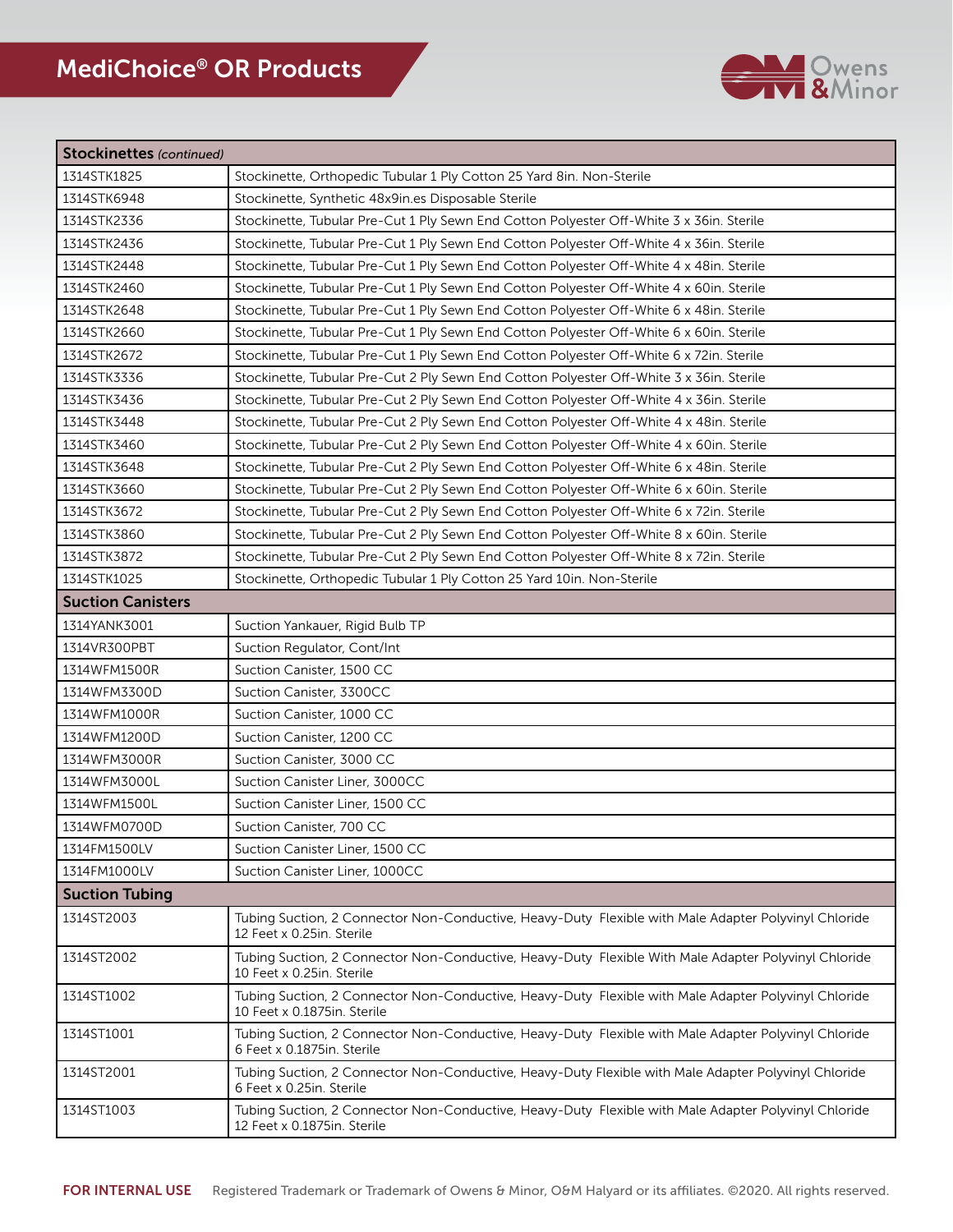

| <b>Stockinettes</b> (continued) |                                                                                                                                     |
|---------------------------------|-------------------------------------------------------------------------------------------------------------------------------------|
| 1314STK1825                     | Stockinette, Orthopedic Tubular 1 Ply Cotton 25 Yard 8in. Non-Sterile                                                               |
| 1314STK6948                     | Stockinette, Synthetic 48x9in.es Disposable Sterile                                                                                 |
| 1314STK2336                     | Stockinette, Tubular Pre-Cut 1 Ply Sewn End Cotton Polyester Off-White 3 x 36in. Sterile                                            |
| 1314STK2436                     | Stockinette, Tubular Pre-Cut 1 Ply Sewn End Cotton Polyester Off-White 4 x 36in. Sterile                                            |
| 1314STK2448                     | Stockinette, Tubular Pre-Cut 1 Ply Sewn End Cotton Polyester Off-White 4 x 48in. Sterile                                            |
| 1314STK2460                     | Stockinette, Tubular Pre-Cut 1 Ply Sewn End Cotton Polyester Off-White 4 x 60in. Sterile                                            |
| 1314STK2648                     | Stockinette, Tubular Pre-Cut 1 Ply Sewn End Cotton Polyester Off-White 6 x 48in. Sterile                                            |
| 1314STK2660                     | Stockinette, Tubular Pre-Cut 1 Ply Sewn End Cotton Polyester Off-White 6 x 60in. Sterile                                            |
| 1314STK2672                     | Stockinette, Tubular Pre-Cut 1 Ply Sewn End Cotton Polyester Off-White 6 x 72in. Sterile                                            |
| 1314STK3336                     | Stockinette, Tubular Pre-Cut 2 Ply Sewn End Cotton Polyester Off-White 3 x 36in. Sterile                                            |
| 1314STK3436                     | Stockinette, Tubular Pre-Cut 2 Ply Sewn End Cotton Polyester Off-White 4 x 36in. Sterile                                            |
| 1314STK3448                     | Stockinette, Tubular Pre-Cut 2 Ply Sewn End Cotton Polyester Off-White 4 x 48in. Sterile                                            |
| 1314STK3460                     | Stockinette, Tubular Pre-Cut 2 Ply Sewn End Cotton Polyester Off-White 4 x 60in. Sterile                                            |
| 1314STK3648                     | Stockinette, Tubular Pre-Cut 2 Ply Sewn End Cotton Polyester Off-White 6 x 48in. Sterile                                            |
| 1314STK3660                     | Stockinette, Tubular Pre-Cut 2 Ply Sewn End Cotton Polyester Off-White 6 x 60in. Sterile                                            |
| 1314STK3672                     | Stockinette, Tubular Pre-Cut 2 Ply Sewn End Cotton Polyester Off-White 6 x 72in. Sterile                                            |
| 1314STK3860                     | Stockinette, Tubular Pre-Cut 2 Ply Sewn End Cotton Polyester Off-White 8 x 60in. Sterile                                            |
| 1314STK3872                     | Stockinette, Tubular Pre-Cut 2 Ply Sewn End Cotton Polyester Off-White 8 x 72in. Sterile                                            |
| 1314STK1025                     | Stockinette, Orthopedic Tubular 1 Ply Cotton 25 Yard 10in. Non-Sterile                                                              |
| <b>Suction Canisters</b>        |                                                                                                                                     |
| 1314YANK3001                    | Suction Yankauer, Rigid Bulb TP                                                                                                     |
| 1314VR300PBT                    | Suction Regulator, Cont/Int                                                                                                         |
| 1314WFM1500R                    | Suction Canister, 1500 CC                                                                                                           |
| 1314WFM3300D                    | Suction Canister, 3300CC                                                                                                            |
| 1314WFM1000R                    | Suction Canister, 1000 CC                                                                                                           |
| 1314WFM1200D                    | Suction Canister, 1200 CC                                                                                                           |
| 1314WFM3000R                    | Suction Canister, 3000 CC                                                                                                           |
| 1314WFM3000L                    | Suction Canister Liner, 3000CC                                                                                                      |
| 1314WFM1500L                    | Suction Canister Liner, 1500 CC                                                                                                     |
| 1314WFM0700D                    | Suction Canister, 700 CC                                                                                                            |
| 1314FM1500LV                    | Suction Canister Liner, 1500 CC                                                                                                     |
| 1314FM1000LV                    | Suction Canister Liner, 1000CC                                                                                                      |
| <b>Suction Tubing</b>           |                                                                                                                                     |
| 1314ST2003                      | Tubing Suction, 2 Connector Non-Conductive, Heavy-Duty Flexible with Male Adapter Polyvinyl Chloride<br>12 Feet x 0.25in. Sterile   |
| 1314ST2002                      | Tubing Suction, 2 Connector Non-Conductive, Heavy-Duty Flexible With Male Adapter Polyvinyl Chloride<br>10 Feet x 0.25in. Sterile   |
| 1314ST1002                      | Tubing Suction, 2 Connector Non-Conductive, Heavy-Duty Flexible with Male Adapter Polyvinyl Chloride<br>10 Feet x 0.1875in. Sterile |
| 1314ST1001                      | Tubing Suction, 2 Connector Non-Conductive, Heavy-Duty Flexible with Male Adapter Polyvinyl Chloride<br>6 Feet x 0.1875in. Sterile  |
| 1314ST2001                      | Tubing Suction, 2 Connector Non-Conductive, Heavy-Duty Flexible with Male Adapter Polyvinyl Chloride<br>6 Feet x 0.25in. Sterile    |
| 1314ST1003                      | Tubing Suction, 2 Connector Non-Conductive, Heavy-Duty Flexible with Male Adapter Polyvinyl Chloride<br>12 Feet x 0.1875in. Sterile |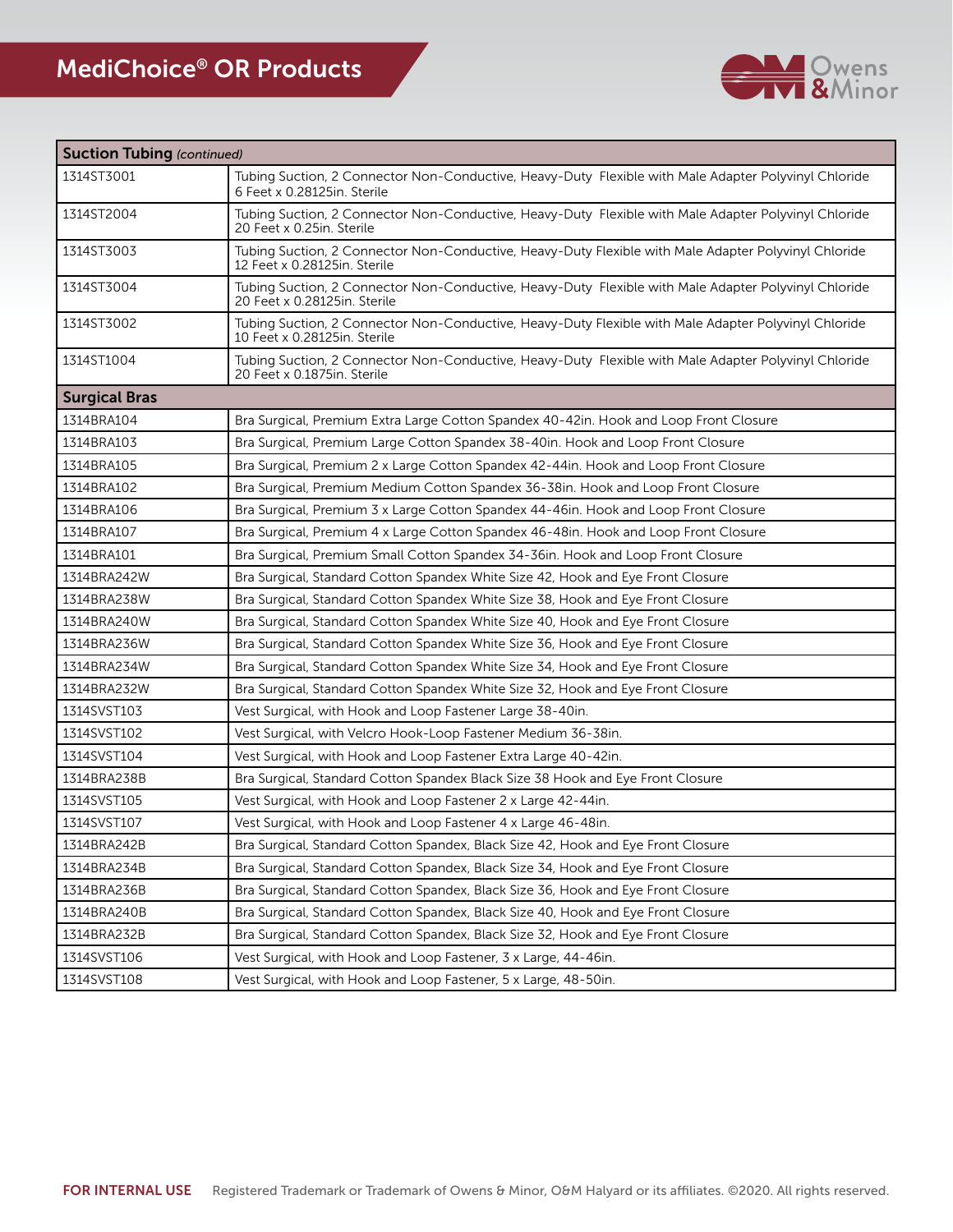

| <b>Suction Tubing (continued)</b> |                                                                                                                                      |
|-----------------------------------|--------------------------------------------------------------------------------------------------------------------------------------|
| 1314ST3001                        | Tubing Suction, 2 Connector Non-Conductive, Heavy-Duty Flexible with Male Adapter Polyvinyl Chloride<br>6 Feet x 0.28125in. Sterile  |
| 1314ST2004                        | Tubing Suction, 2 Connector Non-Conductive, Heavy-Duty Flexible with Male Adapter Polyvinyl Chloride<br>20 Feet x 0.25in. Sterile    |
| 1314ST3003                        | Tubing Suction, 2 Connector Non-Conductive, Heavy-Duty Flexible with Male Adapter Polyvinyl Chloride<br>12 Feet x 0.28125in. Sterile |
| 1314ST3004                        | Tubing Suction, 2 Connector Non-Conductive, Heavy-Duty Flexible with Male Adapter Polyvinyl Chloride<br>20 Feet x 0.28125in, Sterile |
| 1314ST3002                        | Tubing Suction, 2 Connector Non-Conductive, Heavy-Duty Flexible with Male Adapter Polyvinyl Chloride<br>10 Feet x 0.28125in. Sterile |
| 1314ST1004                        | Tubing Suction, 2 Connector Non-Conductive, Heavy-Duty Flexible with Male Adapter Polyvinyl Chloride<br>20 Feet x 0.1875in. Sterile  |
| <b>Surgical Bras</b>              |                                                                                                                                      |
| 1314BRA104                        | Bra Surgical, Premium Extra Large Cotton Spandex 40-42in. Hook and Loop Front Closure                                                |
| 1314BRA103                        | Bra Surgical, Premium Large Cotton Spandex 38-40in. Hook and Loop Front Closure                                                      |
| 1314BRA105                        | Bra Surgical, Premium 2 x Large Cotton Spandex 42-44in. Hook and Loop Front Closure                                                  |
| 1314BRA102                        | Bra Surgical, Premium Medium Cotton Spandex 36-38in. Hook and Loop Front Closure                                                     |
| 1314BRA106                        | Bra Surgical, Premium 3 x Large Cotton Spandex 44-46in. Hook and Loop Front Closure                                                  |
| 1314BRA107                        | Bra Surgical, Premium 4 x Large Cotton Spandex 46-48in. Hook and Loop Front Closure                                                  |
| 1314BRA101                        | Bra Surgical, Premium Small Cotton Spandex 34-36in. Hook and Loop Front Closure                                                      |
| 1314BRA242W                       | Bra Surgical, Standard Cotton Spandex White Size 42, Hook and Eye Front Closure                                                      |
| 1314BRA238W                       | Bra Surgical, Standard Cotton Spandex White Size 38, Hook and Eye Front Closure                                                      |
| 1314BRA240W                       | Bra Surgical, Standard Cotton Spandex White Size 40, Hook and Eye Front Closure                                                      |
| 1314BRA236W                       | Bra Surgical, Standard Cotton Spandex White Size 36, Hook and Eye Front Closure                                                      |
| 1314BRA234W                       | Bra Surgical, Standard Cotton Spandex White Size 34, Hook and Eye Front Closure                                                      |
| 1314BRA232W                       | Bra Surgical, Standard Cotton Spandex White Size 32, Hook and Eye Front Closure                                                      |
| 1314SVST103                       | Vest Surgical, with Hook and Loop Fastener Large 38-40in.                                                                            |
| 1314SVST102                       | Vest Surgical, with Velcro Hook-Loop Fastener Medium 36-38in.                                                                        |
| 1314SVST104                       | Vest Surgical, with Hook and Loop Fastener Extra Large 40-42in.                                                                      |
| 1314BRA238B                       | Bra Surgical, Standard Cotton Spandex Black Size 38 Hook and Eye Front Closure                                                       |
| 1314SVST105                       | Vest Surgical, with Hook and Loop Fastener 2 x Large 42-44in.                                                                        |
| 1314SVST107                       | Vest Surgical, with Hook and Loop Fastener 4 x Large 46-48in.                                                                        |
| 1314BRA242B                       | Bra Surgical, Standard Cotton Spandex, Black Size 42, Hook and Eye Front Closure                                                     |
| 1314BRA234B                       | Bra Surgical, Standard Cotton Spandex, Black Size 34, Hook and Eye Front Closure                                                     |
| 1314BRA236B                       | Bra Surgical, Standard Cotton Spandex, Black Size 36, Hook and Eye Front Closure                                                     |
| 1314BRA240B                       | Bra Surgical, Standard Cotton Spandex, Black Size 40, Hook and Eye Front Closure                                                     |
| 1314BRA232B                       | Bra Surgical, Standard Cotton Spandex, Black Size 32, Hook and Eye Front Closure                                                     |
| 1314SVST106                       | Vest Surgical, with Hook and Loop Fastener, 3 x Large, 44-46in.                                                                      |
| 1314SVST108                       | Vest Surgical, with Hook and Loop Fastener, 5 x Large, 48-50in.                                                                      |